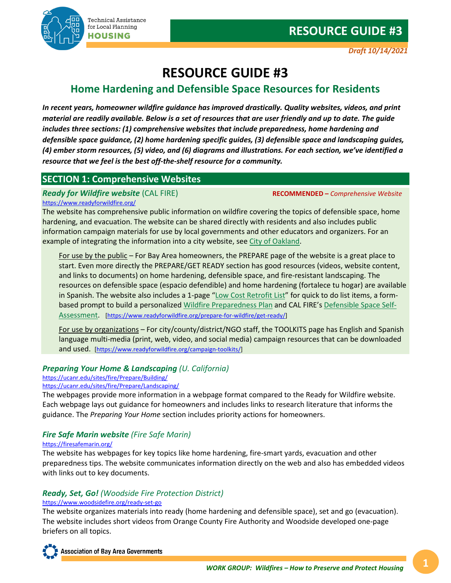

# **RESOURCE GUIDE #3**

# **Home Hardening and Defensible Space Resources for Residents**

*In recent years, homeowner wildfire guidance has improved drastically. Quality websites, videos, and print material are readily available. Below is a set of resources that are user friendly and up to date. The guide includes three sections: (1) comprehensive websites that include preparedness, home hardening and defensible space guidance, (2) home hardening specific guides, (3) defensible space and landscaping guides, (4) ember storm resources, (5) video, and (6) diagrams and illustrations. For each section, we've identified a resource that we feel is the best off-the-shelf resource for a community.*

## **SECTION 1: Comprehensive Websites**

*Ready for Wildfire website* (CAL FIRE) **RECOMMENDED –** *Comprehensive Website*

<https://www.readyforwildfire.org/>

The website has comprehensive public information on wildfire covering the topics of defensible space, home hardening, and evacuation. The website can be shared directly with residents and also includes public information campaign materials for use by local governments and other educators and organizers. For an example of integrating the information into a city website, se[e City of Oakland.](https://www.oaklandca.gov/resources/wildfire-event)

For use by the public – For Bay Area homeowners, the PREPARE page of the website is a great place to start. Even more directly the PREPARE/GET READY section has good resources (videos, website content, and links to documents) on home hardening, defensible space, and fire-resistant landscaping. The resources on defensible space (espacio defendible) and home hardening (fortalece tu hogar) are available in Spanish. The website also includes a 1-page ["Low Cost Retrofit List"](https://osfm.fire.ca.gov/media/10748/low-cost-retrofit-list-final.pdf) for quick to do list items, a formbased prompt to build a personalized [Wildfire Preparedness Plan](https://plan.readyforwildfire.org/survey) and CAL FIRE's [Defensible Space Self-](https://survey123.arcgis.com/share/77d52e2c982e480990320eb5bd53f5fc)[Assessment.](https://survey123.arcgis.com/share/77d52e2c982e480990320eb5bd53f5fc) [\[https://www.readyforwildfire.org/prepare-for-wildfire/get-ready/\]](https://www.readyforwildfire.org/prepare-for-wildfire/get-ready/)

For use by organizations – For city/county/district/NGO staff, the TOOLKITS page has English and Spanish language multi-media (print, web, video, and social media) campaign resources that can be downloaded and used. [\[https://www.readyforwildfire.org/campaign-toolkits/\]](https://www.readyforwildfire.org/campaign-toolkits/)

#### *Preparing Your Home & Landscaping (U. California)*

# <https://ucanr.edu/sites/fire/Prepare/Building/>

<https://ucanr.edu/sites/fire/Prepare/Landscaping/>

The webpages provide more information in a webpage format compared to the Ready for Wildfire website. Each webpage lays out guidance for homeowners and includes links to research literature that informs the guidance. The *Preparing Your Home* section includes priority actions for homeowners.

## *Fire Safe Marin website (Fire Safe Marin)*

#### <https://firesafemarin.org/>

The website has webpages for key topics like home hardening, fire-smart yards, evacuation and other preparedness tips. The website communicates information directly on the web and also has embedded videos with links out to key documents.

#### *Ready, Set, Go! (Woodside Fire Protection District)* <https://www.woodsidefire.org/ready-set-go>

The website organizes materials into ready (home hardening and defensible space), set and go (evacuation). The website includes short videos from Orange County Fire Authority and Woodside developed one-page briefers on all topics.

**Association of Bay Area Governments**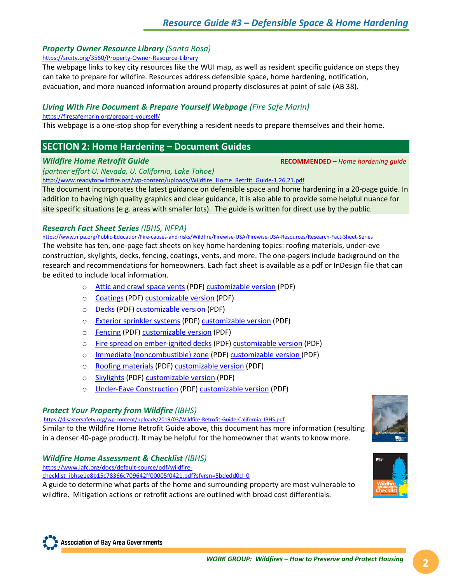#### *Property Owner Resource Library (Santa Rosa)*

<https://srcity.org/3560/Property-Owner-Resource-Library>

The webpage links to key city resources like the WUI map, as well as resident specific guidance on steps they can take to prepare for wildfire. Resources address defensible space, home hardening, notification, evacuation, and more nuanced information around property disclosures at point of sale (AB 38).

### *Living With Fire Document & Prepare Yourself Webpage (Fire Safe Marin)*

#### <https://firesafemarin.org/prepare-yourself/>

This webpage is a one-stop shop for everything a resident needs to prepare themselves and their home.

## **SECTION 2: Home Hardening – Document Guides**

*Wildfire Home Retrofit Guide* **RECOMMENDED –** *Home hardening guide*

*(partner effort U. Nevada, U. California, Lake Tahoe)*

[http://www.readyforwildfire.org/wp-content/uploads/Wildfire\\_Home\\_Retrfit\\_Guide-1.26.21.pdf](http://www.readyforwildfire.org/wp-content/uploads/Wildfire_Home_Retrfit_Guide-1.26.21.pdf)

The document incorporates the latest guidance on defensible space and home hardening in a 20-page guide. In addition to having high quality graphics and clear guidance, it is also able to provide some helpful nuance for site specific situations (e.g. areas with smaller lots). The guide is written for direct use by the public.

### *Research Fact Sheet Series (IBHS, NFPA)*

<https://www.nfpa.org/Public-Education/Fire-causes-and-risks/Wildfire/Firewise-USA/Firewise-USA-Resources/Research-Fact-Sheet-Series>

The website has ten, one-page fact sheets on key home hardening topics: roofing materials, under-eve construction, skylights, decks, fencing, coatings, vents, and more. The one-pagers include background on the research and recommendations for homeowners. Each fact sheet is available as a pdf or InDesign file that can be edited to include local information.

- o [Attic and crawl space vents](https://www.nfpa.org/-/media/Files/Firewise/Fact-sheets/FirewiseFactSheetsAtticsCrawlSpaces.ashx) (PDF) [customizable version](https://www.nfpa.org/-/media/Files/Firewise/Fact-sheets/FirewiseFactSheetsAtticsCrawlSpacesCustomizable.ashx) (PDF)
- o [Coatings](https://www.nfpa.org/-/media/Files/Firewise/Fact-sheets/FirewiseFactSheetsCoatings.ashx) (PDF) [customizable version](https://www.nfpa.org/-/media/Files/Firewise/Fact-sheets/FirewiseFactSheetsCoatingsCustomizable.ashx) (PDF)
- o [Decks](https://www.nfpa.org/-/media/Files/Firewise/Fact-sheets/FirewiseFactSheetsDecks.ashx) (PDF) [customizable version](https://www.nfpa.org/-/media/Files/Firewise/Fact-sheets/FirewiseFactSheetsDecksCustomizable.ashx) (PDF)
- o [Exterior sprinkler systems](https://www.nfpa.org/-/media/Files/Firewise/Fact-sheets/FirewiseFactSheetsExteriorSprinklers.ashx) (PDF) [customizable version](https://www.nfpa.org/-/media/Files/Firewise/Fact-sheets/FirewiseFactSheetsExteriorSprinklersCustomizable.ashx) (PDF)
- o [Fencing](https://www.nfpa.org/-/media/Files/Firewise/Fact-sheets/FirewiseFactSheetsFencing.ashx) (PDF) [customizable version](https://www.nfpa.org/-/media/Files/Firewise/Fact-sheets/FirewiseFactSheetsFencingCustomizable.ashx) (PDF)
- o [Fire spread on ember-ignited decks](https://www.nfpa.org/-/media/Files/Firewise/Fact-sheets/FirewiseFactSheetsEmberIgnitedDecks.ashx) (PDF) [customizable version](https://www.nfpa.org/-/media/Files/Firewise/Fact-sheets/FirewiseFactSheetsEmberIgnitedDecksCustomizable.ashx) (PDF)
- o [Immediate \(noncombustible\) zone](https://www.nfpa.org/-/media/Files/Firewise/Fact-sheets/FirewiseFactSheetsImmediateNoncombustibleZone.ashx) (PDF) [customizable version](https://www.nfpa.org/-/media/Files/Firewise/Fact-sheets/FirewiseFactSheetsImmediateNoncombustible-ZoneCustomizable.ashx) (PDF)
- o [Roofing materials](https://www.nfpa.org/-/media/Files/Firewise/Fact-sheets/FirewiseFactSheetsRoofingMaterials.ashx) (PDF) [customizable version](https://www.nfpa.org/-/media/Files/Firewise/Fact-sheets/FirewiseFactSheetsRoofingMaterialsCustomizable.ashx) (PDF)
- o [Skylights](https://www.nfpa.org/-/media/Files/Firewise/Fact-sheets/FirewiseFactSheetsSkylights.ashx) (PDF) [customizable version](https://www.nfpa.org/-/media/Files/Firewise/Fact-sheets/FirewiseFactSheetsSkylightsCustomizable.ashx) (PDF)
- o [Under-Eave Construction](https://www.nfpa.org/-/media/Files/Firewise/Fact-sheets/FirewiseFactSheetsUnderEaves.ashx) (PDF) [customizable version](https://www.nfpa.org/-/media/Files/Firewise/Fact-sheets/FirewiseFactSheetsUnderEavesCustomizable.ashx) (PDF)

#### *Protect Your Property from Wildfire (IBHS)*

[https://disastersafety.org/wp-content/uploads/2019/03/Wildfire-Retrofit-Guide-California\\_IBHS.pdf](https://disastersafety.org/wp-content/uploads/2019/03/Wildfire-Retrofit-Guide-California_IBHS.pdf) Similar to the Wildfire Home Retrofit Guide above, this document has more information (resulting in a denser 40-page product). It may be helpful for the homeowner that wants to know more.

#### *Wildfire Home Assessment & Checklist (IBHS)*

[https://www.iafc.org/docs/default-source/pdf/wildfire-](https://www.iafc.org/docs/default-source/pdf/wildfire-checklist_ibhse1e8b15c78366c709642ff00005f0421.pdf?sfvrsn=5bdedd0d_0)

[checklist\\_ibhse1e8b15c78366c709642ff00005f0421.pdf?sfvrsn=5bdedd0d\\_0](https://www.iafc.org/docs/default-source/pdf/wildfire-checklist_ibhse1e8b15c78366c709642ff00005f0421.pdf?sfvrsn=5bdedd0d_0)

A guide to determine what parts of the home and surrounding property are most vulnerable to wildfire. Mitigation actions or retrofit actions are outlined with broad cost differentials.





**Association of Bay Area Governments**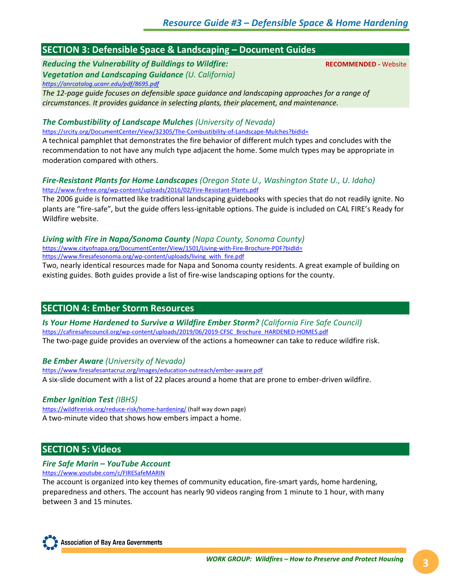## **SECTION 3: Defensible Space & Landscaping – Document Guides**

*Reducing the Vulnerability of Buildings to Wildfire:* **RECOMMENDED -** Website *Vegetation and Landscaping Guidance (U. California) <https://anrcatalog.ucanr.edu/pdf/8695.pdf>*

*The 12-page guide focuses on defensible space guidance and landscaping approaches for a range of circumstances. It provides guidance in selecting plants, their placement, and maintenance.*

#### *The Combustibility of Landscape Mulches (University of Nevada)*

<https://srcity.org/DocumentCenter/View/32305/The-Combustibility-of-Landscape-Mulches?bidId=> A technical pamphlet that demonstrates the fire behavior of different mulch types and concludes with the

recommendation to not have any mulch type adjacent the home. Some mulch types may be appropriate in moderation compared with others.

#### *Fire-Resistant Plants for Home Landscapes (Oregon State U., Washington State U., U. Idaho)* <http://www.firefree.org/wp-content/uploads/2016/02/Fire-Resistant-Plants.pdf>

The 2006 guide is formatted like traditional landscaping guidebooks with species that do not readily ignite. No plants are "fire-safe", but the guide offers less-ignitable options. The guide is included on CAL FIRE's Ready for Wildfire website.

#### *Living with Fire in Napa/Sonoma County (Napa County, Sonoma County)* <https://www.cityofnapa.org/DocumentCenter/View/1501/Living-with-Fire-Brochure-PDF?bidId=>

[https://www.firesafesonoma.org/wp-content/uploads/living\\_with\\_fire.pdf](https://www.firesafesonoma.org/wp-content/uploads/living_with_fire.pdf)

Two, nearly identical resources made for Napa and Sonoma county residents. A great example of building on existing guides. Both guides provide a list of fire-wise landscaping options for the county.

## **SECTION 4: Ember Storm Resources**

*Is Your Home Hardened to Survive a Wildfire Ember Storm? (California Fire Safe Council)* [https://cafiresafecouncil.org/wp-content/uploads/2019/06/2019-CFSC\\_Brochure\\_HARDENED-HOMES.pdf](https://cafiresafecouncil.org/wp-content/uploads/2019/06/2019-CFSC_Brochure_HARDENED-HOMES.pdf) The two-page guide provides an overview of the actions a homeowner can take to reduce wildfire risk.

#### *Be Ember Aware (University of Nevada)*

<https://www.firesafesantacruz.org/images/education-outreach/ember-aware.pdf> A six-slide document with a list of 22 places around a home that are prone to ember-driven wildfire.

#### *Ember Ignition Test (IBHS)*

<https://wildfirerisk.org/reduce-risk/home-hardening/> (half way down page) A two-minute video that shows how embers impact a home.

## **SECTION 5: Videos**

#### *Fire Safe Marin – YouTube Account*

<https://www.youtube.com/c/FIRESafeMARIN>

The account is organized into key themes of community education, fire-smart yards, home hardening, preparedness and others. The account has nearly 90 videos ranging from 1 minute to 1 hour, with many between 3 and 15 minutes.

**Association of Bay Area Governments**